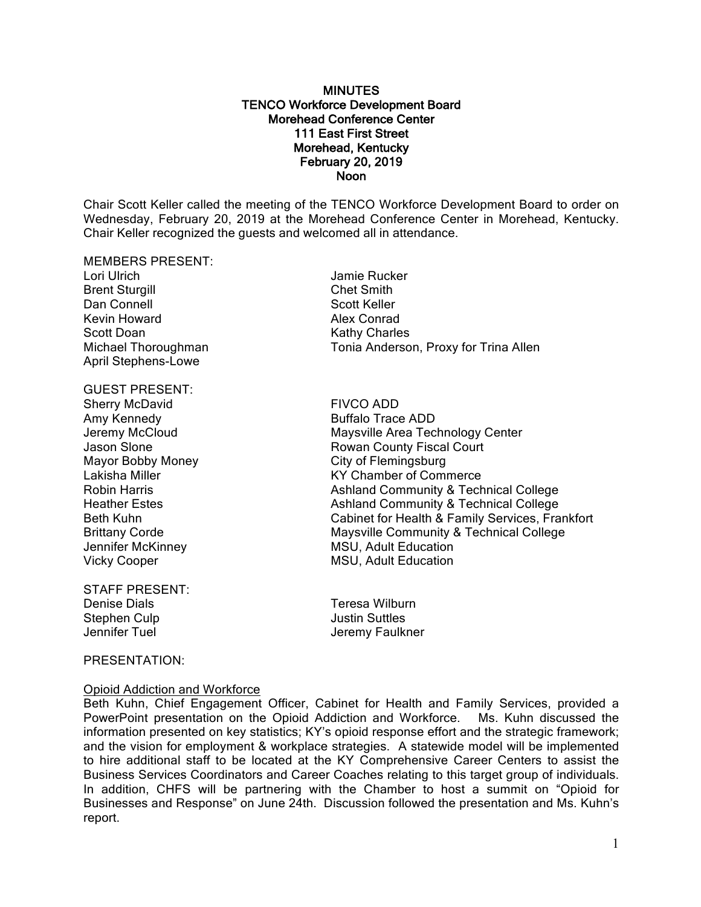### **MINUTES** TENCO Workforce Development Board Morehead Conference Center 111 East First Street Morehead, Kentucky February 20, 2019 Noon

Chair Scott Keller called the meeting of the TENCO Workforce Development Board to order on Wednesday, February 20, 2019 at the Morehead Conference Center in Morehead, Kentucky. Chair Keller recognized the guests and welcomed all in attendance.

### MEMBERS PRESENT:

Lori Ulrich Jamie Rucker Brent Sturgill Chet Smith Dan Connell **Scott Keller** Kevin Howard **Alex Conrad** Scott Doan Kathy Charles April Stephens-Lowe

### GUEST PRESENT:

Sherry McDavid FIVCO ADD Amy Kennedy **Buffalo Trace ADD** Mayor Bobby Money **City of Flemingsburg** 

STAFF PRESENT: Denise Dials Teresa Wilburn Stephen Culp **Justin Suttles** Jennifer Tuel Jeremy Faulkner

### PRESENTATION:

Opioid Addiction and Workforce

# Michael Thoroughman Tonia Anderson, Proxy for Trina Allen

Jeremy McCloud Maysville Area Technology Center Jason Slone **Rowan County Fiscal Court** Lakisha Miller **KY Chamber of Commerce** Robin Harris **Ashland Community & Technical College**<br>
Heather Estes **Ashland Community & Technical College** Ashland Community & Technical College Beth Kuhn Cabinet for Health & Family Services, Frankfort Brittany Corde **Maysville Community & Technical College** Jennifer McKinney **MSU, Adult Education** Vicky Cooper **MSU**, Adult Education

Beth Kuhn, Chief Engagement Officer, Cabinet for Health and Family Services, provided a PowerPoint presentation on the Opioid Addiction and Workforce. Ms. Kuhn discussed the information presented on key statistics; KY's opioid response effort and the strategic framework; and the vision for employment & workplace strategies. A statewide model will be implemented to hire additional staff to be located at the KY Comprehensive Career Centers to assist the Business Services Coordinators and Career Coaches relating to this target group of individuals. In addition, CHFS will be partnering with the Chamber to host a summit on "Opioid for Businesses and Response" on June 24th. Discussion followed the presentation and Ms. Kuhn's report.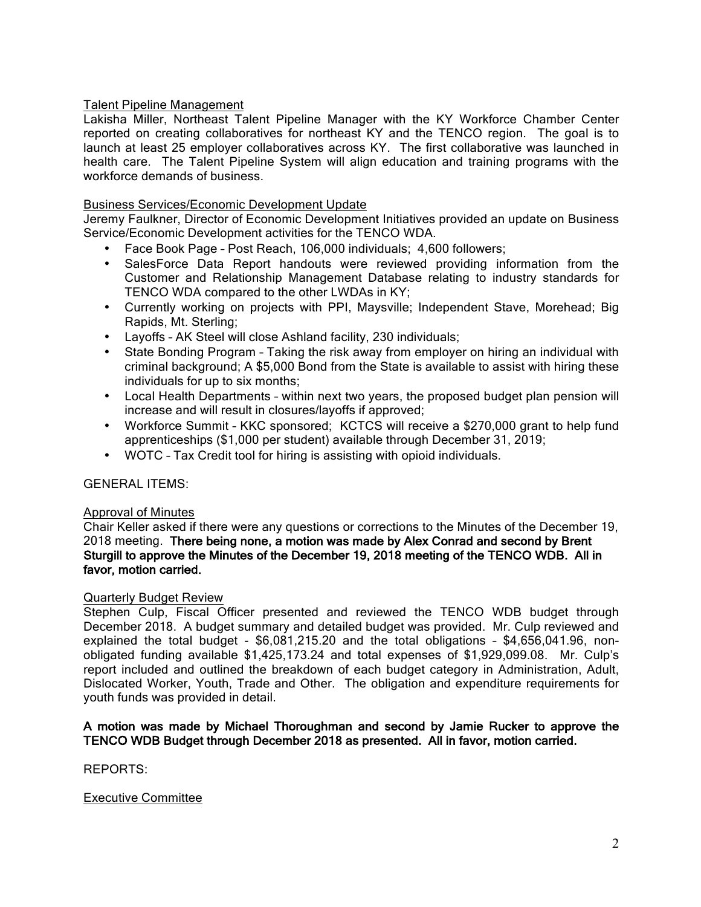# Talent Pipeline Management

Lakisha Miller, Northeast Talent Pipeline Manager with the KY Workforce Chamber Center reported on creating collaboratives for northeast KY and the TENCO region. The goal is to launch at least 25 employer collaboratives across KY. The first collaborative was launched in health care. The Talent Pipeline System will align education and training programs with the workforce demands of business.

# Business Services/Economic Development Update

Jeremy Faulkner, Director of Economic Development Initiatives provided an update on Business Service/Economic Development activities for the TENCO WDA.

- Face Book Page Post Reach, 106,000 individuals; 4,600 followers;
- SalesForce Data Report handouts were reviewed providing information from the Customer and Relationship Management Database relating to industry standards for TENCO WDA compared to the other LWDAs in KY;
- Currently working on projects with PPI, Maysville; Independent Stave, Morehead; Big Rapids, Mt. Sterling;
- Layoffs AK Steel will close Ashland facility, 230 individuals;
- State Bonding Program Taking the risk away from employer on hiring an individual with criminal background; A \$5,000 Bond from the State is available to assist with hiring these individuals for up to six months;
- Local Health Departments within next two years, the proposed budget plan pension will increase and will result in closures/layoffs if approved;
- Workforce Summit KKC sponsored; KCTCS will receive a \$270,000 grant to help fund apprenticeships (\$1,000 per student) available through December 31, 2019;
- WOTC Tax Credit tool for hiring is assisting with opioid individuals.

# GENERAL ITEMS:

# Approval of Minutes

Chair Keller asked if there were any questions or corrections to the Minutes of the December 19, 2018 meeting. There being none, a motion was made by Alex Conrad and second by Brent Sturgill to approve the Minutes of the December 19, 2018 meeting of the TENCO WDB. All in favor, motion carried.

# Quarterly Budget Review

Stephen Culp, Fiscal Officer presented and reviewed the TENCO WDB budget through December 2018. A budget summary and detailed budget was provided. Mr. Culp reviewed and explained the total budget - \$6,081,215.20 and the total obligations – \$4,656,041.96, nonobligated funding available \$1,425,173.24 and total expenses of \$1,929,099.08. Mr. Culp's report included and outlined the breakdown of each budget category in Administration, Adult, Dislocated Worker, Youth, Trade and Other. The obligation and expenditure requirements for youth funds was provided in detail.

# A motion was made by Michael Thoroughman and second by Jamie Rucker to approve the TENCO WDB Budget through December 2018 as presented. All in favor, motion carried.

REPORTS:

# Executive Committee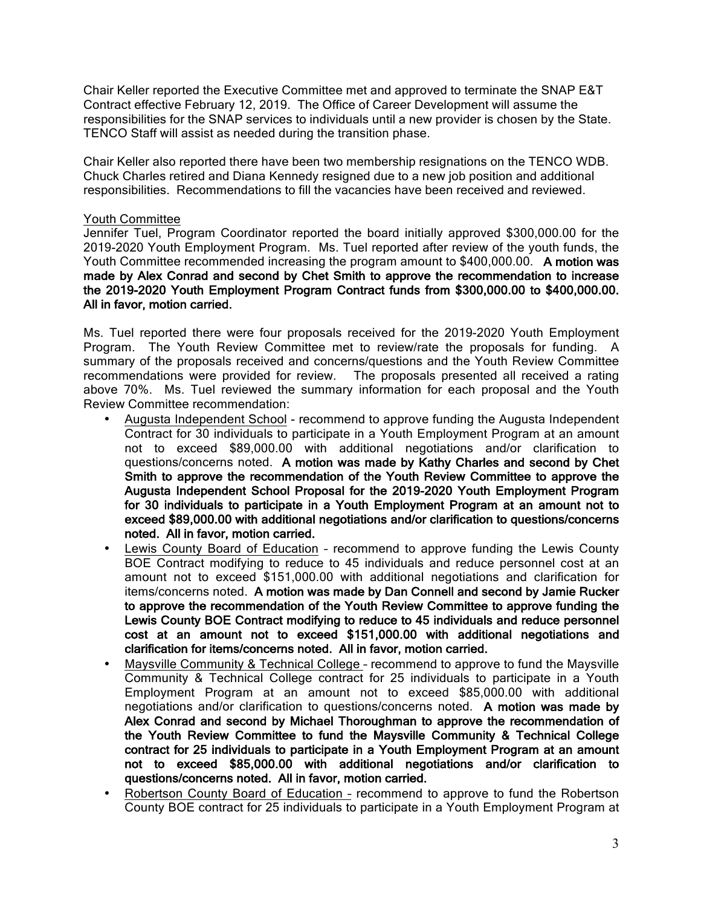Chair Keller reported the Executive Committee met and approved to terminate the SNAP E&T Contract effective February 12, 2019. The Office of Career Development will assume the responsibilities for the SNAP services to individuals until a new provider is chosen by the State. TENCO Staff will assist as needed during the transition phase.

Chair Keller also reported there have been two membership resignations on the TENCO WDB. Chuck Charles retired and Diana Kennedy resigned due to a new job position and additional responsibilities. Recommendations to fill the vacancies have been received and reviewed.

### Youth Committee

Jennifer Tuel, Program Coordinator reported the board initially approved \$300,000.00 for the 2019-2020 Youth Employment Program. Ms. Tuel reported after review of the youth funds, the Youth Committee recommended increasing the program amount to \$400,000.00. A motion was made by Alex Conrad and second by Chet Smith to approve the recommendation to increase the 2019-2020 Youth Employment Program Contract funds from \$300,000.00 to \$400,000.00. All in favor, motion carried.

Ms. Tuel reported there were four proposals received for the 2019-2020 Youth Employment Program. The Youth Review Committee met to review/rate the proposals for funding. A summary of the proposals received and concerns/questions and the Youth Review Committee recommendations were provided for review. The proposals presented all received a rating above 70%. Ms. Tuel reviewed the summary information for each proposal and the Youth Review Committee recommendation:

- Augusta Independent School recommend to approve funding the Augusta Independent Contract for 30 individuals to participate in a Youth Employment Program at an amount not to exceed \$89,000.00 with additional negotiations and/or clarification to questions/concerns noted. A motion was made by Kathy Charles and second by Chet Smith to approve the recommendation of the Youth Review Committee to approve the Augusta Independent School Proposal for the 2019-2020 Youth Employment Program for 30 individuals to participate in a Youth Employment Program at an amount not to exceed \$89,000.00 with additional negotiations and/or clarification to questions/concerns noted. All in favor, motion carried.
- Lewis County Board of Education recommend to approve funding the Lewis County BOE Contract modifying to reduce to 45 individuals and reduce personnel cost at an amount not to exceed \$151,000.00 with additional negotiations and clarification for items/concerns noted. A motion was made by Dan Connell and second by Jamie Rucker to approve the recommendation of the Youth Review Committee to approve funding the Lewis County BOE Contract modifying to reduce to 45 individuals and reduce personnel cost at an amount not to exceed \$151,000.00 with additional negotiations and clarification for items/concerns noted. All in favor, motion carried.
- Maysville Community & Technical College recommend to approve to fund the Maysville Community & Technical College contract for 25 individuals to participate in a Youth Employment Program at an amount not to exceed \$85,000.00 with additional negotiations and/or clarification to questions/concerns noted. A motion was made by Alex Conrad and second by Michael Thoroughman to approve the recommendation of the Youth Review Committee to fund the Maysville Community & Technical College contract for 25 individuals to participate in a Youth Employment Program at an amount not to exceed \$85,000.00 with additional negotiations and/or clarification to questions/concerns noted. All in favor, motion carried.
- Robertson County Board of Education recommend to approve to fund the Robertson County BOE contract for 25 individuals to participate in a Youth Employment Program at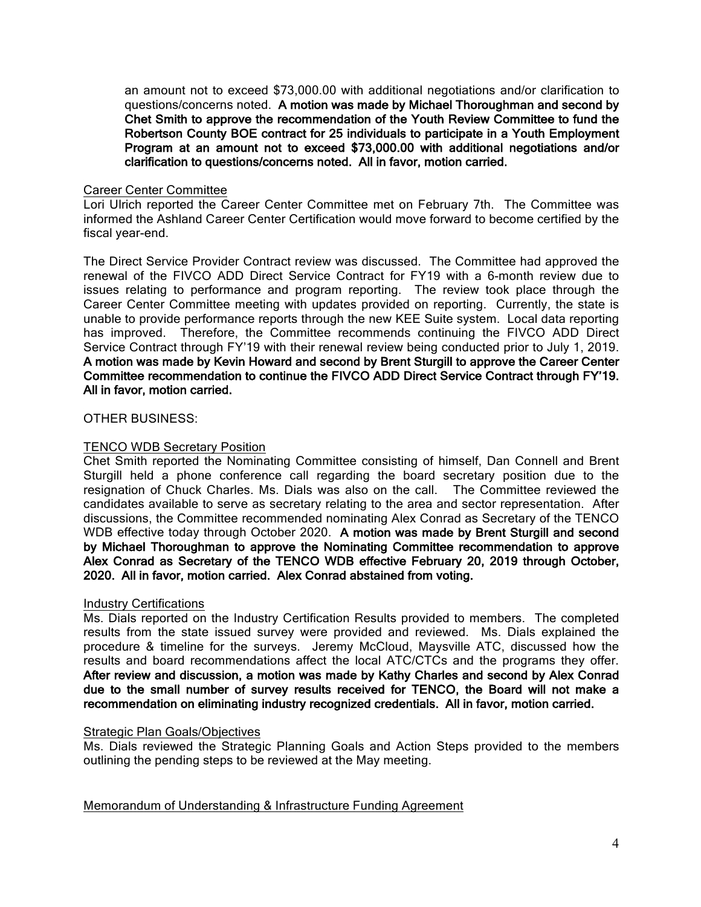an amount not to exceed \$73,000.00 with additional negotiations and/or clarification to questions/concerns noted. A motion was made by Michael Thoroughman and second by Chet Smith to approve the recommendation of the Youth Review Committee to fund the Robertson County BOE contract for 25 individuals to participate in a Youth Employment Program at an amount not to exceed \$73,000.00 with additional negotiations and/or clarification to questions/concerns noted. All in favor, motion carried.

### Career Center Committee

Lori Ulrich reported the Career Center Committee met on February 7th. The Committee was informed the Ashland Career Center Certification would move forward to become certified by the fiscal year-end.

The Direct Service Provider Contract review was discussed. The Committee had approved the renewal of the FIVCO ADD Direct Service Contract for FY19 with a 6-month review due to issues relating to performance and program reporting. The review took place through the Career Center Committee meeting with updates provided on reporting. Currently, the state is unable to provide performance reports through the new KEE Suite system. Local data reporting has improved. Therefore, the Committee recommends continuing the FIVCO ADD Direct Service Contract through FY'19 with their renewal review being conducted prior to July 1, 2019. A motion was made by Kevin Howard and second by Brent Sturgill to approve the Career Center Committee recommendation to continue the FIVCO ADD Direct Service Contract through FY'19. All in favor, motion carried.

### OTHER BUSINESS:

### TENCO WDB Secretary Position

Chet Smith reported the Nominating Committee consisting of himself, Dan Connell and Brent Sturgill held a phone conference call regarding the board secretary position due to the resignation of Chuck Charles. Ms. Dials was also on the call. The Committee reviewed the candidates available to serve as secretary relating to the area and sector representation. After discussions, the Committee recommended nominating Alex Conrad as Secretary of the TENCO WDB effective today through October 2020. A motion was made by Brent Sturgill and second by Michael Thoroughman to approve the Nominating Committee recommendation to approve Alex Conrad as Secretary of the TENCO WDB effective February 20, 2019 through October, 2020. All in favor, motion carried. Alex Conrad abstained from voting.

### Industry Certifications

Ms. Dials reported on the Industry Certification Results provided to members. The completed results from the state issued survey were provided and reviewed. Ms. Dials explained the procedure & timeline for the surveys. Jeremy McCloud, Maysville ATC, discussed how the results and board recommendations affect the local ATC/CTCs and the programs they offer. After review and discussion, a motion was made by Kathy Charles and second by Alex Conrad due to the small number of survey results received for TENCO, the Board will not make a recommendation on eliminating industry recognized credentials. All in favor, motion carried.

### Strategic Plan Goals/Objectives

Ms. Dials reviewed the Strategic Planning Goals and Action Steps provided to the members outlining the pending steps to be reviewed at the May meeting.

Memorandum of Understanding & Infrastructure Funding Agreement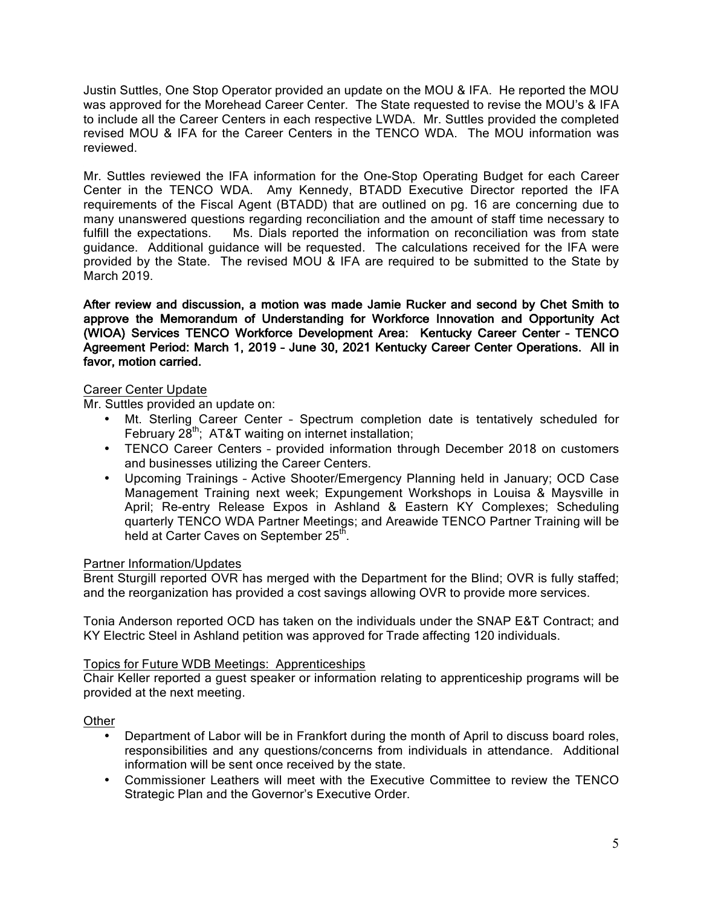Justin Suttles, One Stop Operator provided an update on the MOU & IFA. He reported the MOU was approved for the Morehead Career Center. The State requested to revise the MOU's & IFA to include all the Career Centers in each respective LWDA. Mr. Suttles provided the completed revised MOU & IFA for the Career Centers in the TENCO WDA. The MOU information was reviewed.

Mr. Suttles reviewed the IFA information for the One-Stop Operating Budget for each Career Center in the TENCO WDA. Amy Kennedy, BTADD Executive Director reported the IFA requirements of the Fiscal Agent (BTADD) that are outlined on pg. 16 are concerning due to many unanswered questions regarding reconciliation and the amount of staff time necessary to fulfill the expectations. Ms. Dials reported the information on reconciliation was from state guidance. Additional guidance will be requested. The calculations received for the IFA were provided by the State. The revised MOU & IFA are required to be submitted to the State by March 2019.

After review and discussion, a motion was made Jamie Rucker and second by Chet Smith to approve the Memorandum of Understanding for Workforce Innovation and Opportunity Act (WIOA) Services TENCO Workforce Development Area: Kentucky Career Center – TENCO Agreement Period: March 1, 2019 – June 30, 2021 Kentucky Career Center Operations. All in favor, motion carried.

# Career Center Update

Mr. Suttles provided an update on:

- Mt. Sterling Career Center Spectrum completion date is tentatively scheduled for February  $28<sup>th</sup>$ ; AT&T waiting on internet installation;
- TENCO Career Centers provided information through December 2018 on customers and businesses utilizing the Career Centers.
- Upcoming Trainings Active Shooter/Emergency Planning held in January; OCD Case Management Training next week; Expungement Workshops in Louisa & Maysville in April; Re-entry Release Expos in Ashland & Eastern KY Complexes; Scheduling quarterly TENCO WDA Partner Meetings; and Areawide TENCO Partner Training will be held at Carter Caves on September 25<sup>th</sup>.

# Partner Information/Updates

Brent Sturgill reported OVR has merged with the Department for the Blind; OVR is fully staffed; and the reorganization has provided a cost savings allowing OVR to provide more services.

Tonia Anderson reported OCD has taken on the individuals under the SNAP E&T Contract; and KY Electric Steel in Ashland petition was approved for Trade affecting 120 individuals.

# Topics for Future WDB Meetings: Apprenticeships

Chair Keller reported a guest speaker or information relating to apprenticeship programs will be provided at the next meeting.

**Other** 

- Department of Labor will be in Frankfort during the month of April to discuss board roles, responsibilities and any questions/concerns from individuals in attendance. Additional information will be sent once received by the state.
- Commissioner Leathers will meet with the Executive Committee to review the TENCO Strategic Plan and the Governor's Executive Order.